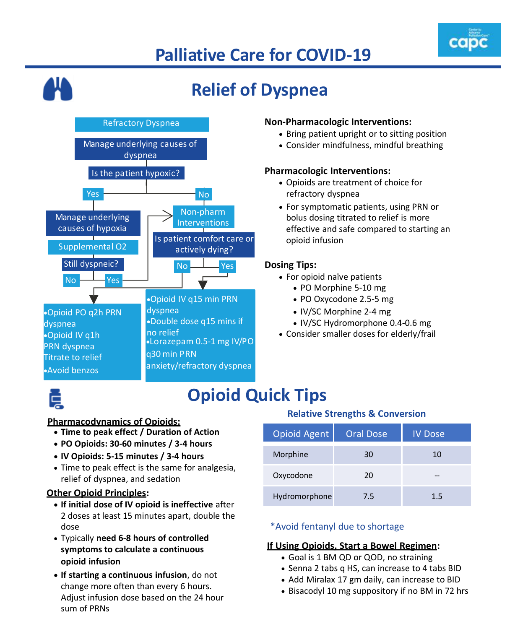# **Palliative Care for COVID-19**





### **Opioid Quick Tips**

#### **Pharmacodynamics of Opioids:**

- **Time to peak effect / Duration of Action**
- **PO Opioids: 30-60 minutes / 3-4 hours**
- **IV Opioids: 5-15 minutes / 3-4 hours**
- Time to peak effect is the same for analgesia, relief of dyspnea, and sedation

### **Other Opioid Principles:**

- **If initial dose of IV opioid is ineffective** after 2 doses at least 15 minutes apart, double the dose
- Typically **need 6-8 hours of controlled symptoms to calculate a continuous opioid infusion**
- **If starting a continuous infusion**, do not change more often than every 6 hours. Adjust infusion dose based on the 24 hour sum of PRNs

#### **Relative Strengths & Conversion**

| <b>Opioid Agent</b> | <b>Oral Dose</b> | <b>IV Dose</b> |
|---------------------|------------------|----------------|
| Morphine            | 30               | 10             |
| Oxycodone           | 20               | --             |
| Hydromorphone       | 7.5              | 1.5            |

#### \*Avoid fentanyl due to shortage

### **If Using Opioids, Start a Bowel Regimen:**

- Goal is 1 BM QD or QOD, no straining
- Senna 2 tabs q HS, can increase to 4 tabs BID
- Add Miralax 17 gm daily, can increase to BID
- Bisacodyl 10 mg suppository if no BM in 72 hrs